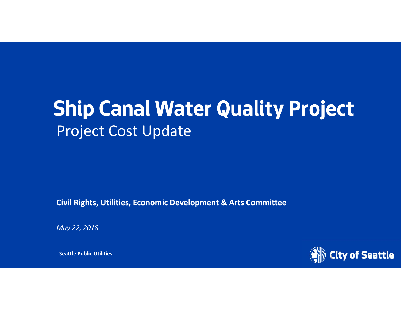# **Ship Canal Water Quality Project** Project Cost Update

**Civil Rights, Utilities, Economic Development & Arts Committee**

*May 22, 2018*

(全国) Department **Seattle Public Utilities** Number 2012 - 2022年2月20日 - 2022年2月20日 - 2022年2月20日 - 2022年2月20日 - 2022年2月20日 - 2022年2月20日 - 2022年2月20日 - 2022年2月20日 - 2022年2月20日 - 2022年2月20日 - 2022年2月20日 - 2022年2月20日 - 2022年2月2

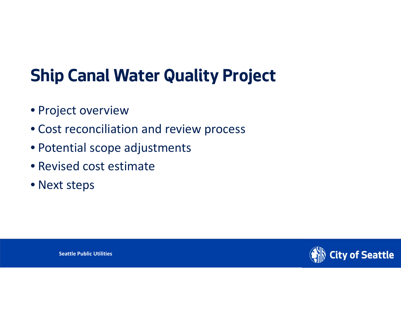## **Ship Canal Water Quality Project**

- Project overview
- Cost reconciliation and review process
- Potential scope adjustments
- Revised cost estimate
- Next steps

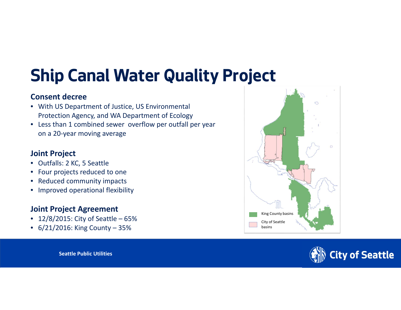## **Ship Canal Water Quality Project**

#### **Consent decree**

- With US Department of Justice, US Environmental Protection Agency, and WA Department of Ecology
- Less than 1 combined sewer overflow per outfall per year on <sup>a</sup> 20‐year moving average

#### **Joint Project**

- Outfalls: 2 KC, 5 Seattle
- $\bullet$ Four projects reduced to one
- •• Reduced community impacts
- Improved operational flexibility

#### **Joint Project Agreement**

- 12/8/2015: City of Seattle 65%
- 6/21/2016: King County 35%



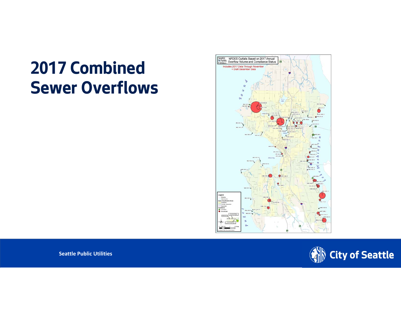## **2017 Combined Sewer Overflows**



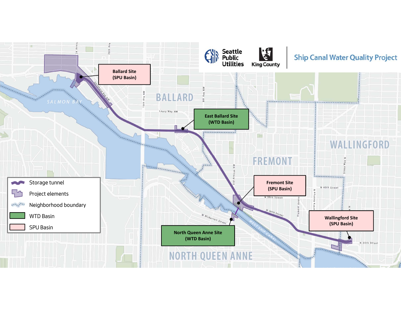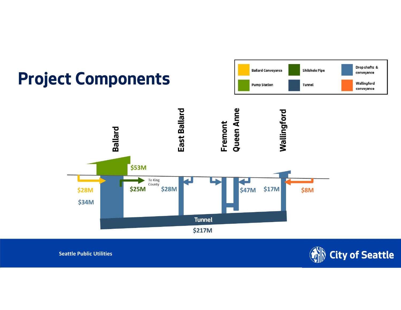



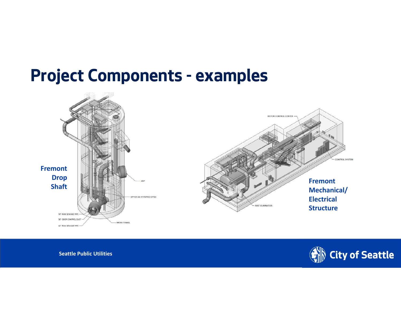#### **Project Components - examples**



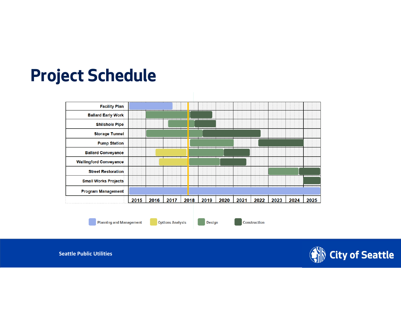### **Project Schedule**



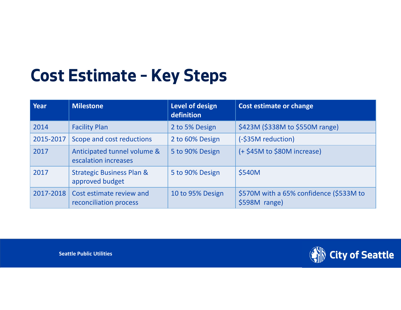## **Cost Estimate – Key Steps**

| <b>Year</b> | <b>Milestone</b>                                        | Level of design<br>definition | Cost estimate or change                                  |
|-------------|---------------------------------------------------------|-------------------------------|----------------------------------------------------------|
| 2014        | <b>Facility Plan</b>                                    | 2 to 5% Design                | \$423M (\$338M to \$550M range)                          |
| 2015-2017   | Scope and cost reductions                               | 2 to 60% Design               | (-\$35M reduction)                                       |
| 2017        | Anticipated tunnel volume &<br>escalation increases     | 5 to 90% Design               | (+ \$45M to \$80M increase)                              |
| 2017        | <b>Strategic Business Plan &amp;</b><br>approved budget | 5 to 90% Design               | \$540M                                                   |
| 2017-2018   | Cost estimate review and<br>reconciliation process      | 10 to 95% Design              | \$570M with a 65% confidence (\$533M to<br>\$598M range) |

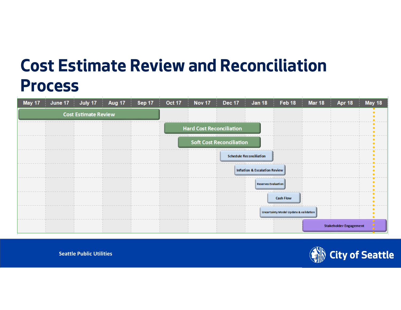## **Cost Estimate Review and Reconciliation Process**

|                             |  |  |  |                                 |                                 |                                          | May 17 June 17 July 17 Aug 17 Sep 17 Oct 17 Nov 17 Dec 17 Jan 18 Feb 18 Mar 18 | Apr 18                        | May 18 |
|-----------------------------|--|--|--|---------------------------------|---------------------------------|------------------------------------------|--------------------------------------------------------------------------------|-------------------------------|--------|
| <b>Cost Estimate Review</b> |  |  |  |                                 |                                 |                                          |                                                                                |                               |        |
|                             |  |  |  | <b>Hard Cost Reconciliation</b> |                                 |                                          |                                                                                |                               |        |
|                             |  |  |  |                                 | <b>Soft Cost Reconciliation</b> |                                          |                                                                                |                               |        |
|                             |  |  |  |                                 |                                 | <b>Schedule Reconciliation</b>           |                                                                                |                               |        |
|                             |  |  |  |                                 |                                 | <b>Inflation &amp; Escalation Review</b> |                                                                                |                               |        |
|                             |  |  |  |                                 |                                 | <b>Reserves Evaluation</b>               |                                                                                |                               |        |
|                             |  |  |  |                                 |                                 |                                          | <b>Cash Flow</b>                                                               |                               |        |
|                             |  |  |  |                                 |                                 |                                          | Uncertainty Model Update & validation                                          |                               |        |
|                             |  |  |  |                                 |                                 |                                          |                                                                                | <b>Stakeholder Engagement</b> |        |

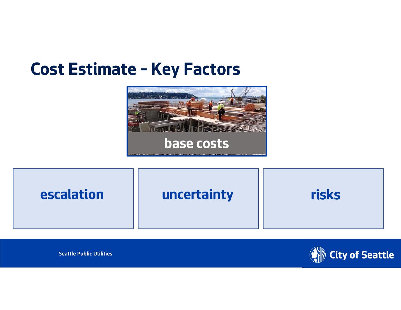#### **Cost Estimate – Key Factors**





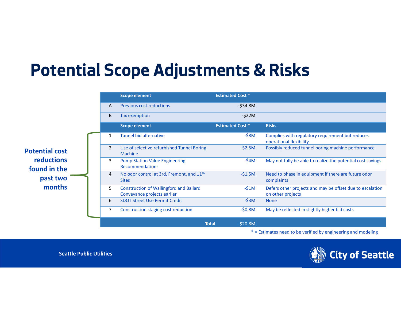## **Potential Scope Adjustments & Risks**

|                                   |                | <b>Scope element</b>                                                          | <b>Estimated Cost *</b> |                                                                                |
|-----------------------------------|----------------|-------------------------------------------------------------------------------|-------------------------|--------------------------------------------------------------------------------|
|                                   | A              | <b>Previous cost reductions</b>                                               | $-$ \$34.8M             |                                                                                |
|                                   | B              | Tax exemption                                                                 | $-522M$                 |                                                                                |
|                                   |                | <b>Scope element</b>                                                          | <b>Estimated Cost *</b> | <b>Risks</b>                                                                   |
|                                   | $\mathbf{1}$   | Tunnel bid alternative                                                        | $-$ \$8M                | Complies with regulatory requirement but reduces<br>operational flexibility    |
| <b>Potential cost</b>             | $\overline{2}$ | Use of selective refurbished Tunnel Boring<br><b>Machine</b>                  | $-52.5M$                | Possibly reduced tunnel boring machine performance                             |
| <b>reductions</b><br>found in the | 3              | <b>Pump Station Value Engineering</b><br>Recommendations                      | $-$ \$4M                | May not fully be able to realize the potential cost savings                    |
| past two                          | 4              | No odor control at 3rd, Fremont, and 11 <sup>th</sup><br><b>Sites</b>         | $-51.5M$                | Need to phase in equipment if there are future odor<br>complaints              |
| months                            | 5              | <b>Construction of Wallingford and Ballard</b><br>Conveyance projects earlier | $-51M$                  | Defers other projects and may be offset due to escalation<br>on other projects |
|                                   | 6              | <b>SDOT Street Use Permit Credit</b>                                          | $-53M$                  | <b>None</b>                                                                    |
|                                   | 7              | Construction staging cost reduction                                           | $-50.8M$                | May be reflected in slightly higher bid costs                                  |
|                                   |                | <b>Total</b>                                                                  | $-520.8M$               |                                                                                |

\* <sup>=</sup> Estimates need to be verified by engineering and modeling

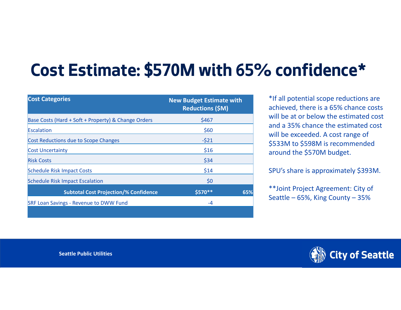# **Cost Estimate: \$570M with 65% confidence\***

| <b>Cost Categories</b>                              | <b>New Budget Estimate with</b><br><b>Reductions (\$M)</b> |
|-----------------------------------------------------|------------------------------------------------------------|
| Base Costs (Hard + Soft + Property) & Change Orders | \$467                                                      |
| Escalation                                          | \$60                                                       |
| Cost Reductions due to Scope Changes                | $-521$                                                     |
| <b>Cost Uncertainty</b>                             | \$16                                                       |
| <b>Risk Costs</b>                                   | \$34                                                       |
| <b>Schedule Risk Impact Costs</b>                   | \$14                                                       |
| <b>Schedule Risk Impact Escalation</b>              | \$0                                                        |
| <b>Subtotal Cost Projection/% Confidence</b>        | \$570 **<br>65%                                            |
| <b>SRF Loan Savings - Revenue to DWW Fund</b>       | -4                                                         |
|                                                     |                                                            |

\*If all potential scope reductions are achieved, there is <sup>a</sup> 65% chance costs will be at or below the estimated cost and a 35% chance the estimated cost will be exceeded. A cost range of \$533M to \$598M is recommended around the \$570M budget.

SPU's share is approximately \$393M.

\*\*Joint Project Agreement: City of Seattle – 65%, King County – 35%

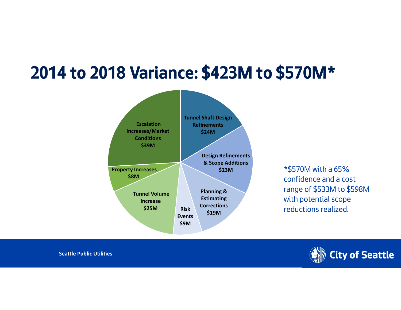## **2014 to 2018 Variance: \$423M to \$570M\***



\*\$570M with a 65% confidence and a cost range of \$533M to \$598M with potential scope reductions realized.

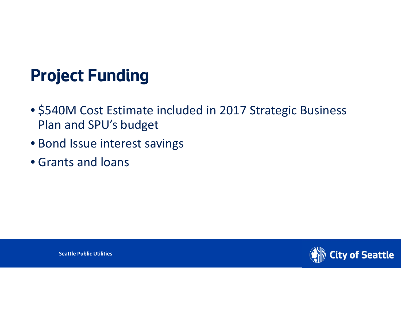## **Project Funding**

- \$540M Cost Estimate included in 2017 Strategic Business Plan and SPU's budget
- Bond Issue interest savings
- Grants and loans

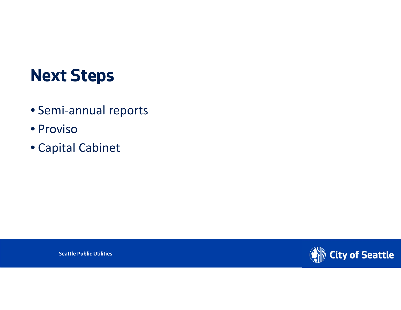### **Next Steps**

- Semi‐annual reports
- Proviso
- Capital Cabinet